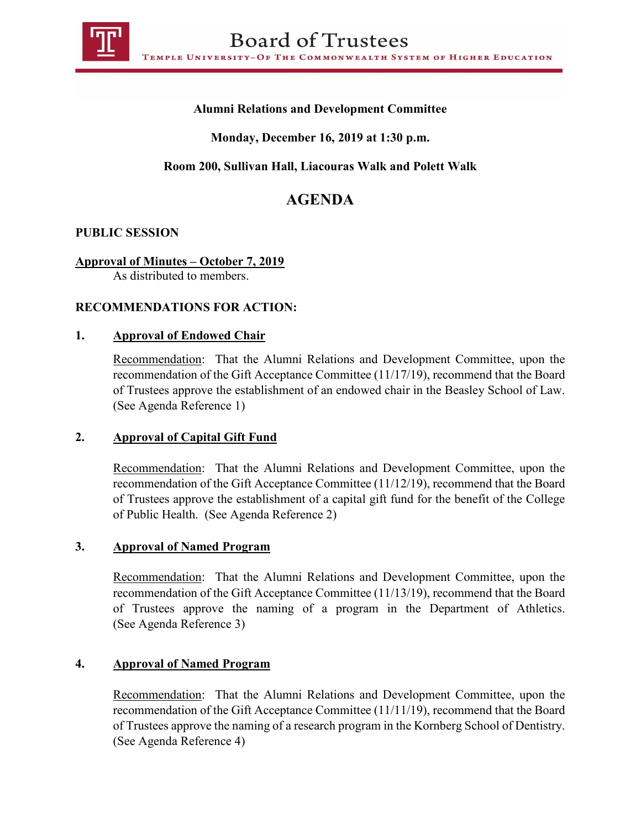

## **Alumni Relations and Development Committee**

# **Monday, December 16, 2019 at 1:30 p.m.**

# **Room 200, Sullivan Hall, Liacouras Walk and Polett Walk**

# **AGENDA**

## **PUBLIC SESSION**

## **Approval of Minutes – October 7, 2019**

As distributed to members.

## **RECOMMENDATIONS FOR ACTION:**

#### **1. Approval of Endowed Chair**

Recommendation: That the Alumni Relations and Development Committee, upon the recommendation of the Gift Acceptance Committee (11/17/19), recommend that the Board of Trustees approve the establishment of an endowed chair in the Beasley School of Law. (See Agenda Reference 1)

## **2. Approval of Capital Gift Fund**

Recommendation: That the Alumni Relations and Development Committee, upon the recommendation of the Gift Acceptance Committee (11/12/19), recommend that the Board of Trustees approve the establishment of a capital gift fund for the benefit of the College of Public Health. (See Agenda Reference 2)

#### **3. Approval of Named Program**

Recommendation: That the Alumni Relations and Development Committee, upon the recommendation of the Gift Acceptance Committee (11/13/19), recommend that the Board of Trustees approve the naming of a program in the Department of Athletics. (See Agenda Reference 3)

#### **4. Approval of Named Program**

Recommendation: That the Alumni Relations and Development Committee, upon the recommendation of the Gift Acceptance Committee (11/11/19), recommend that the Board of Trustees approve the naming of a research program in the Kornberg School of Dentistry. (See Agenda Reference 4)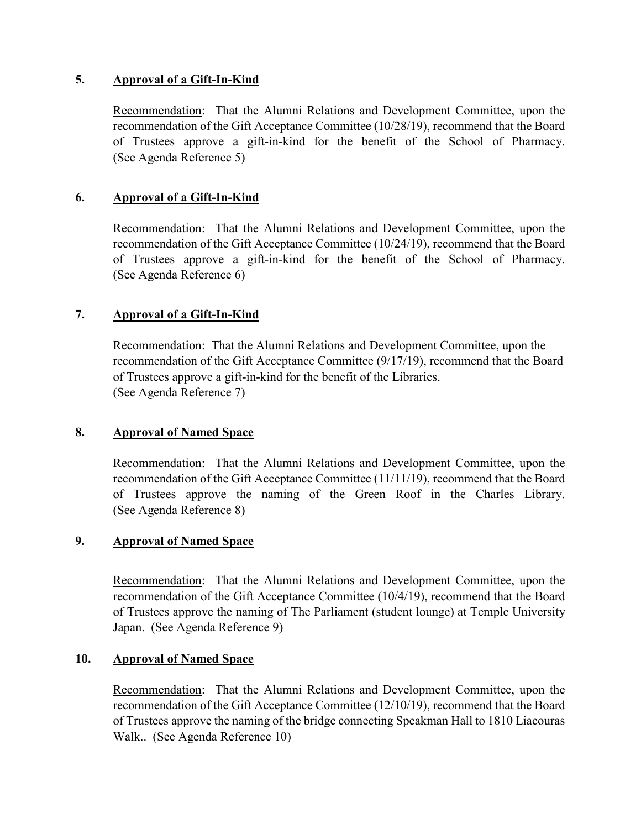## **5. Approval of a Gift-In-Kind**

Recommendation: That the Alumni Relations and Development Committee, upon the recommendation of the Gift Acceptance Committee (10/28/19), recommend that the Board of Trustees approve a gift-in-kind for the benefit of the School of Pharmacy. (See Agenda Reference 5)

## **6. Approval of a Gift-In-Kind**

Recommendation: That the Alumni Relations and Development Committee, upon the recommendation of the Gift Acceptance Committee (10/24/19), recommend that the Board of Trustees approve a gift-in-kind for the benefit of the School of Pharmacy. (See Agenda Reference 6)

## **7. Approval of a Gift-In-Kind**

Recommendation: That the Alumni Relations and Development Committee, upon the recommendation of the Gift Acceptance Committee (9/17/19), recommend that the Board of Trustees approve a gift-in-kind for the benefit of the Libraries. (See Agenda Reference 7)

#### **8. Approval of Named Space**

Recommendation: That the Alumni Relations and Development Committee, upon the recommendation of the Gift Acceptance Committee (11/11/19), recommend that the Board of Trustees approve the naming of the Green Roof in the Charles Library. (See Agenda Reference 8)

#### **9. Approval of Named Space**

Recommendation: That the Alumni Relations and Development Committee, upon the recommendation of the Gift Acceptance Committee (10/4/19), recommend that the Board of Trustees approve the naming of The Parliament (student lounge) at Temple University Japan. (See Agenda Reference 9)

#### **10. Approval of Named Space**

Recommendation: That the Alumni Relations and Development Committee, upon the recommendation of the Gift Acceptance Committee (12/10/19), recommend that the Board of Trustees approve the naming of the bridge connecting Speakman Hall to 1810 Liacouras Walk.. (See Agenda Reference 10)